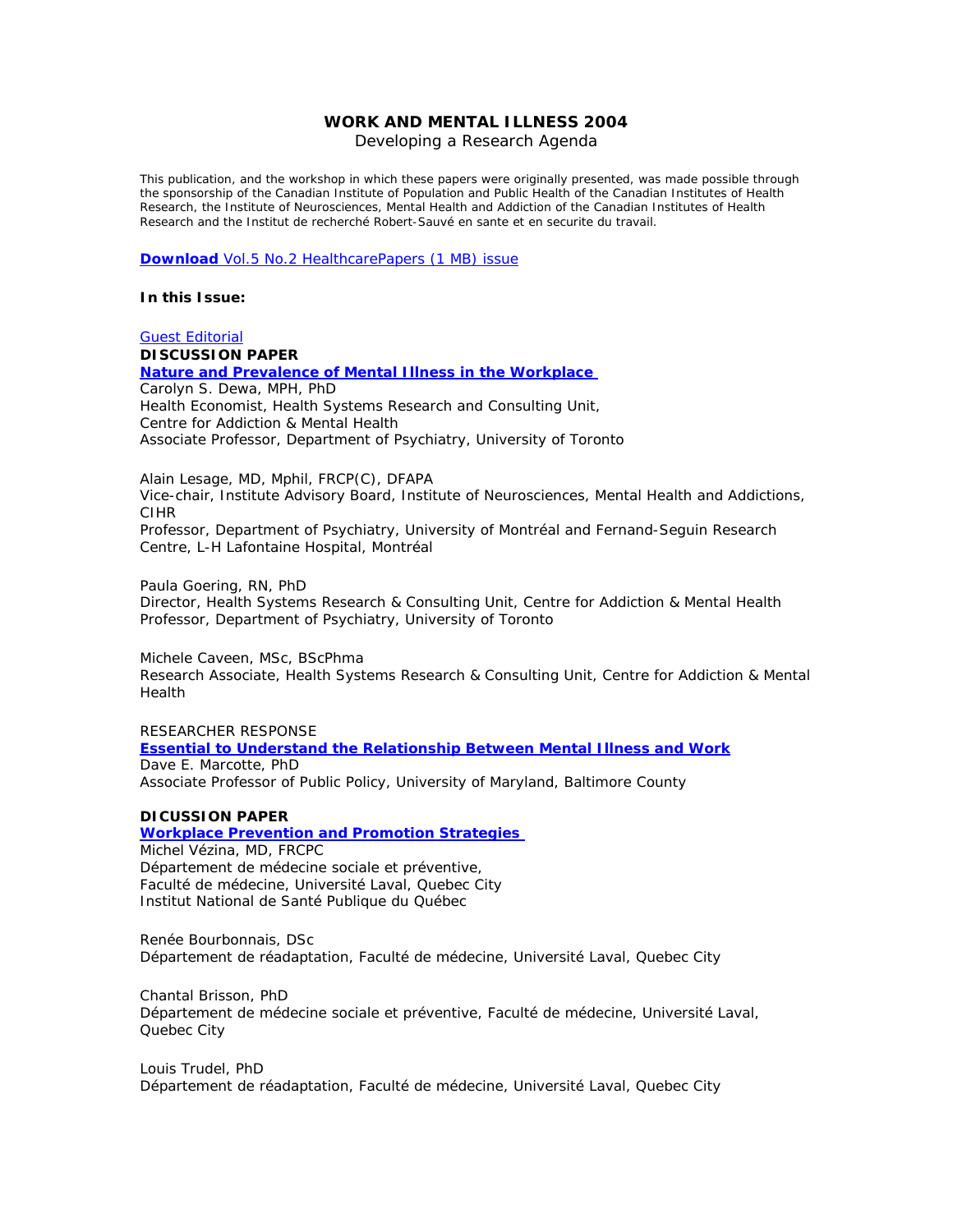# **WORK AND MENTAL ILLNESS 2004**

Developing a Research Agenda

This publication, and the workshop in which these papers were originally presented, was made possible through the sponsorship of the Canadian Institute of Population and Public Health of the Canadian Institutes of Health Research, the Institute of Neurosciences, Mental Health and Addiction of the Canadian Institutes of Health Research and the Institut de recherché Robert-Sauvé en sante et en securite du travail.

**Download** [Vol.5 No.2 HealthcarePapers \(1 MB\) issue](http://longwoods.com/hp/5-2MentalHealth/HP52Mental.pdf)

#### **In this Issue:**

# [Guest Editorial](http://www.longwoods.com/hp/5-2MentalHealth/HP52editorial.html) **DISCUSSION PAPER [Nature and Prevalence of Mental Illness in the Workplace](http://www.longwoods.com/hp/5-2MentalHealth/HP52Dewa.html)**  Carolyn S. Dewa, MPH, PhD

Health Economist, Health Systems Research and Consulting Unit, Centre for Addiction & Mental Health Associate Professor, Department of Psychiatry, University of Toronto

Alain Lesage, MD, Mphil, FRCP(C), DFAPA

Vice-chair, Institute Advisory Board, Institute of Neurosciences, Mental Health and Addictions, CIHR

Professor, Department of Psychiatry, University of Montréal and Fernand-Seguin Research Centre, L-H Lafontaine Hospital, Montréal

Paula Goering, RN, PhD Director, Health Systems Research & Consulting Unit, Centre for Addiction & Mental Health Professor, Department of Psychiatry, University of Toronto

Michele Caveen, MSc, BScPhma Research Associate, Health Systems Research & Consulting Unit, Centre for Addiction & Mental Health

#### RESEARCHER RESPONSE

#### **[Essential to Understand the Relationship Between Mental Illness and Work](http://www.longwoods.com/hp/5-2MentalHealth/HP52Marcotte.html)** Dave E. Marcotte, PhD Associate Professor of Public Policy, University of Maryland, Baltimore County

#### **DICUSSION PAPER**

#### **[Workplace Prevention and Promotion Strategies](http://www.longwoods.com/hp/5-2MentalHealth/HP52Vezina.html)**  Michel Vézina, MD, FRCPC Département de médecine sociale et préventive, Faculté de médecine, Université Laval, Quebec City Institut National de Santé Publique du Québec

Renée Bourbonnais, DSc

Département de réadaptation, Faculté de médecine, Université Laval, Quebec City

Chantal Brisson, PhD Département de médecine sociale et préventive, Faculté de médecine, Université Laval, Quebec City

Louis Trudel, PhD Département de réadaptation, Faculté de médecine, Université Laval, Quebec City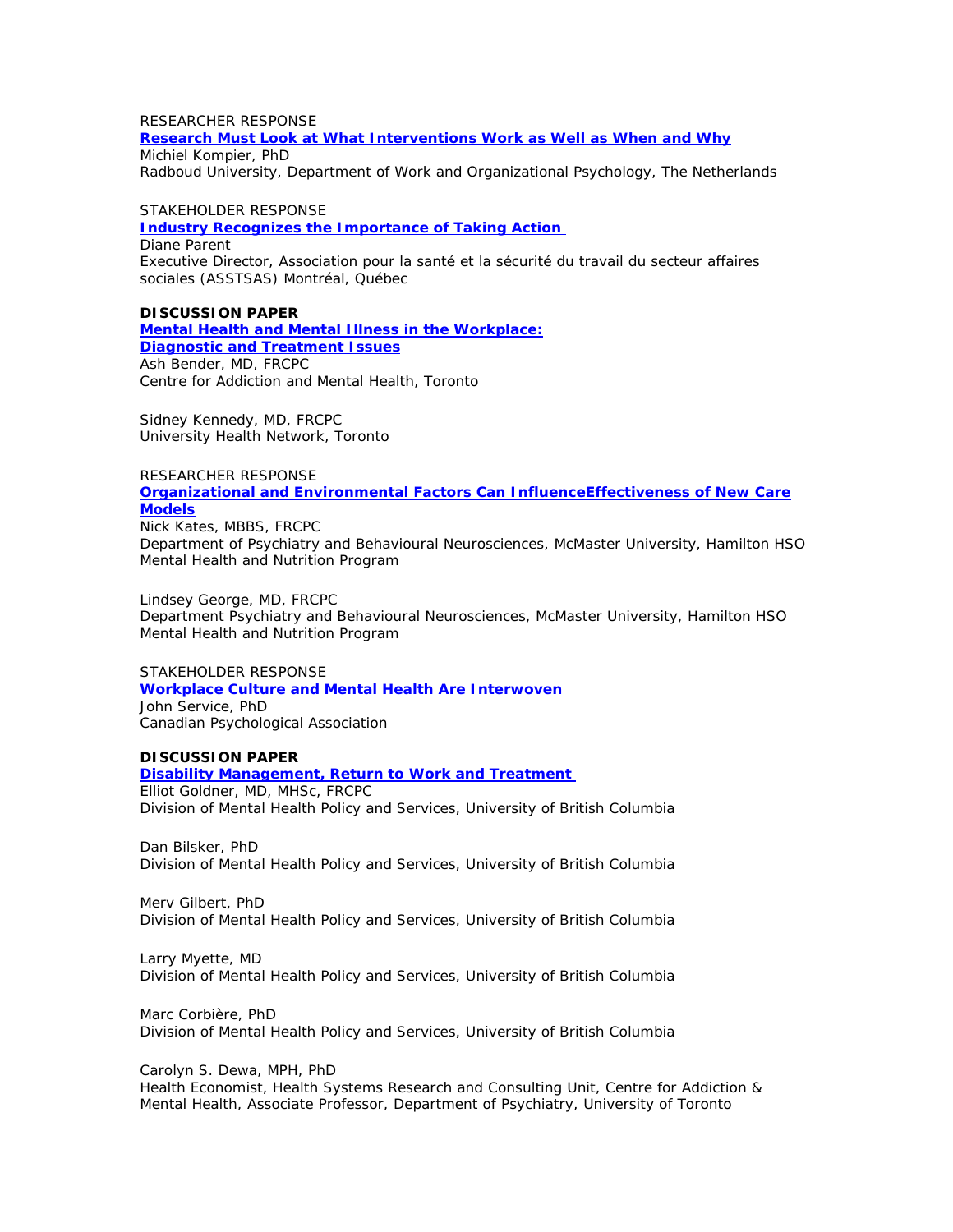# RESEARCHER RESPONSE

**[Research Must Look at What Interventions Work as Well as When and Why](http://www.longwoods.com/hp/5-2MentalHealth/HP52Kompier.html)** Michiel Kompier, PhD

Radboud University, Department of Work and Organizational Psychology, The Netherlands

## STAKEHOLDER RESPONSE

**[Industry Recognizes the Importance of Taking Action](http://www.longwoods.com/hp/5-2MentalHealth/HP52Parent.html)**  Diane Parent Executive Director, Association pour la santé et la sécurité du travail du secteur affaires sociales (ASSTSAS) Montréal, Québec

**DISCUSSION PAPER [Mental Health and Mental Illness in the Workplace:](http://www.longwoods.com/hp/5-2MentalHealth/HP52Bender.html) [Diagnostic and Treatment Issues](http://www.longwoods.com/hp/5-2MentalHealth/HP52Bender.html)** Ash Bender, MD, FRCPC

Centre for Addiction and Mental Health, Toronto

Sidney Kennedy, MD, FRCPC University Health Network, Toronto

# RESEARCHER RESPONSE

**[Organizational and Environmental Factors Can InfluenceEffectiveness of New Care](http://www.longwoods.com/hp/5-2MentalHealth/HP52Kates.html)  [Models](http://www.longwoods.com/hp/5-2MentalHealth/HP52Kates.html)**

Nick Kates, MBBS, FRCPC Department of Psychiatry and Behavioural Neurosciences, McMaster University, Hamilton HSO Mental Health and Nutrition Program

Lindsey George, MD, FRCPC Department Psychiatry and Behavioural Neurosciences, McMaster University, Hamilton HSO Mental Health and Nutrition Program

STAKEHOLDER RESPONSE **[Workplace Culture and Mental Health Are Interwoven](http://www.longwoods.com/hp/5-2MentalHealth/HP52Service.html)**  John Service, PhD Canadian Psychological Association

# **DISCUSSION PAPER**

# **[Disability Management, Return to Work and Treatment](http://www.longwoods.com/hp/5-2MentalHealth/HP52Goldner.html)**

Elliot Goldner, MD, MHSc, FRCPC Division of Mental Health Policy and Services, University of British Columbia

Dan Bilsker, PhD Division of Mental Health Policy and Services, University of British Columbia

Merv Gilbert, PhD Division of Mental Health Policy and Services, University of British Columbia

Larry Myette, MD Division of Mental Health Policy and Services, University of British Columbia

Marc Corbière, PhD Division of Mental Health Policy and Services, University of British Columbia

Carolyn S. Dewa, MPH, PhD Health Economist, Health Systems Research and Consulting Unit, Centre for Addiction & Mental Health, Associate Professor, Department of Psychiatry, University of Toronto